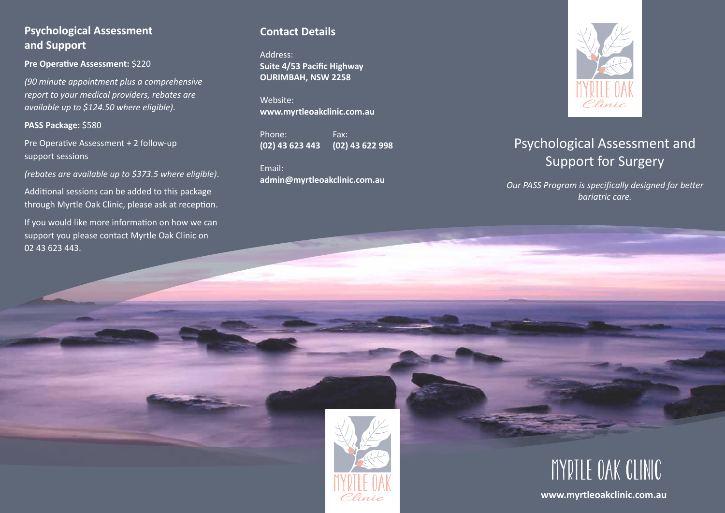## **Psychological Assessment and Support**

**Pre Operative Assessment:** \$220

*(90 minute appointment plus a comprehensive report to your medical providers, rebates are available up to \$124.50 where eligible)*.

#### **PASS Package:** \$580

Pre Operative Assessment + 2 follow-up support sessions

*(rebates are available up to \$373.5 where eligible)*.

Additional sessions can be added to this package through Myrtle Oak Clinic, please ask at reception.

If you would like more information on how we can support you please contact Myrtle Oak Clinic on 02 43 623 443.

## **Contact Details**

Address: **Suite 4/53 Pacific Highway OURIMBAH, NSW 2258** 

Website: **www.myrtleoakclinic.com.au**

Phone: Fax: **(02) 43 623 443 (02) 43 622 998**

Email: **admin@myrtleoakclinic.com.au**



# Psychological Assessment and Support for Surgery

*Our PASS Program is specifically designed for better bariatric care.*





**www.myrtleoakclinic.com.au**